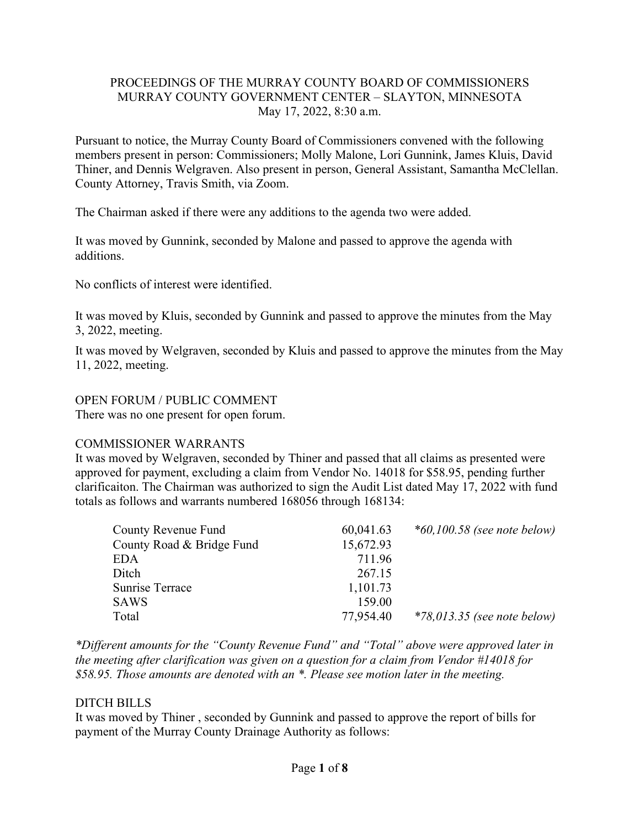## PROCEEDINGS OF THE MURRAY COUNTY BOARD OF COMMISSIONERS MURRAY COUNTY GOVERNMENT CENTER – SLAYTON, MINNESOTA May 17, 2022, 8:30 a.m.

Pursuant to notice, the Murray County Board of Commissioners convened with the following members present in person: Commissioners; Molly Malone, Lori Gunnink, James Kluis, David Thiner, and Dennis Welgraven. Also present in person, General Assistant, Samantha McClellan. County Attorney, Travis Smith, via Zoom.

The Chairman asked if there were any additions to the agenda two were added.

It was moved by Gunnink, seconded by Malone and passed to approve the agenda with additions.

No conflicts of interest were identified.

It was moved by Kluis, seconded by Gunnink and passed to approve the minutes from the May 3, 2022, meeting.

It was moved by Welgraven, seconded by Kluis and passed to approve the minutes from the May 11, 2022, meeting.

## OPEN FORUM / PUBLIC COMMENT

There was no one present for open forum.

## COMMISSIONER WARRANTS

It was moved by Welgraven, seconded by Thiner and passed that all claims as presented were approved for payment, excluding a claim from Vendor No. 14018 for \$58.95, pending further clarificaiton. The Chairman was authorized to sign the Audit List dated May 17, 2022 with fund totals as follows and warrants numbered 168056 through 168134:

| County Revenue Fund       | 60,041.63 | $*60,100.58$ (see note below) |
|---------------------------|-----------|-------------------------------|
| County Road & Bridge Fund | 15,672.93 |                               |
| <b>EDA</b>                | 711.96    |                               |
| Ditch                     | 267.15    |                               |
| Sunrise Terrace           | 1,101.73  |                               |
| <b>SAWS</b>               | 159.00    |                               |
| Total                     | 77,954.40 | $*78,013.35$ (see note below) |

*\*Different amounts for the "County Revenue Fund" and "Total" above were approved later in the meeting after clarification was given on a question for a claim from Vendor #14018 for \$58.95. Those amounts are denoted with an \*. Please see motion later in the meeting.*

## DITCH BILLS

It was moved by Thiner , seconded by Gunnink and passed to approve the report of bills for payment of the Murray County Drainage Authority as follows: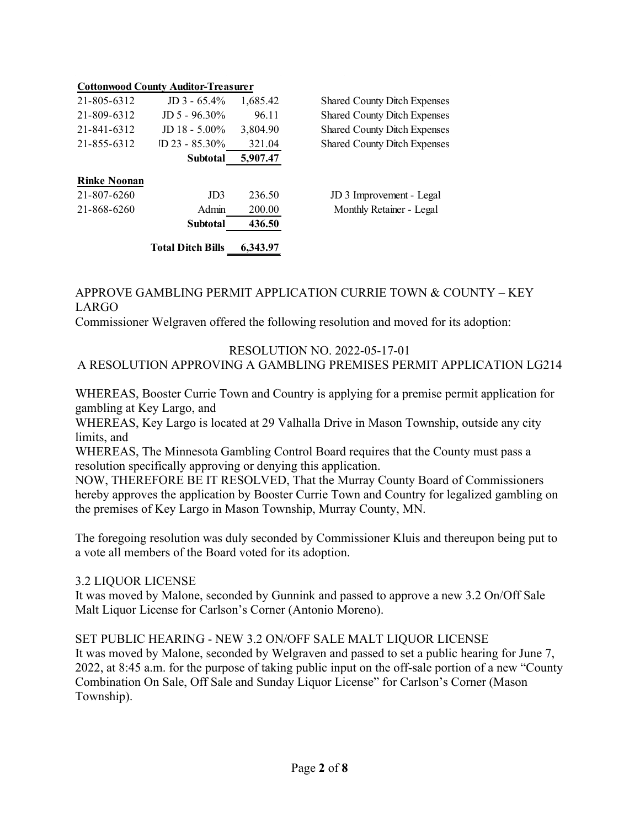|                     | <b>Cottonwood County Auditor-Treasurer</b> |          |                                     |
|---------------------|--------------------------------------------|----------|-------------------------------------|
| 21-805-6312         | $JD$ 3 - 65.4%                             | 1,685.42 | <b>Shared County Ditch Expenses</b> |
| 21-809-6312         | $JD 5 - 96.30\%$                           | 96.11    | <b>Shared County Ditch Expenses</b> |
| 21-841-6312         | JD $18 - 5.00\%$                           | 3,804.90 | <b>Shared County Ditch Expenses</b> |
| 21-855-6312         | $ID$ 23 - 85.30%                           | 321.04   | <b>Shared County Ditch Expenses</b> |
|                     | <b>Subtotal</b>                            | 5,907.47 |                                     |
| <b>Rinke Noonan</b> |                                            |          |                                     |
| 21-807-6260         | JD <sub>3</sub>                            | 236.50   | JD 3 Improvement - Legal            |
| 21-868-6260         | Admin                                      | 200.00   | Monthly Retainer - Legal            |
|                     | <b>Subtotal</b>                            | 436.50   |                                     |
|                     | <b>Total Ditch Bills</b>                   | 6.343.97 |                                     |

## APPROVE GAMBLING PERMIT APPLICATION CURRIE TOWN & COUNTY – KEY LARGO

Commissioner Welgraven offered the following resolution and moved for its adoption:

## RESOLUTION NO. 2022-05-17-01 A RESOLUTION APPROVING A GAMBLING PREMISES PERMIT APPLICATION LG214

WHEREAS, Booster Currie Town and Country is applying for a premise permit application for gambling at Key Largo, and

WHEREAS, Key Largo is located at 29 Valhalla Drive in Mason Township, outside any city limits, and

WHEREAS, The Minnesota Gambling Control Board requires that the County must pass a resolution specifically approving or denying this application.

NOW, THEREFORE BE IT RESOLVED, That the Murray County Board of Commissioners hereby approves the application by Booster Currie Town and Country for legalized gambling on the premises of Key Largo in Mason Township, Murray County, MN.

The foregoing resolution was duly seconded by Commissioner Kluis and thereupon being put to a vote all members of the Board voted for its adoption.

## 3.2 LIQUOR LICENSE

It was moved by Malone, seconded by Gunnink and passed to approve a new 3.2 On/Off Sale Malt Liquor License for Carlson's Corner (Antonio Moreno).

## SET PUBLIC HEARING - NEW 3.2 ON/OFF SALE MALT LIQUOR LICENSE

It was moved by Malone, seconded by Welgraven and passed to set a public hearing for June 7, 2022, at 8:45 a.m. for the purpose of taking public input on the off-sale portion of a new "County Combination On Sale, Off Sale and Sunday Liquor License" for Carlson's Corner (Mason Township).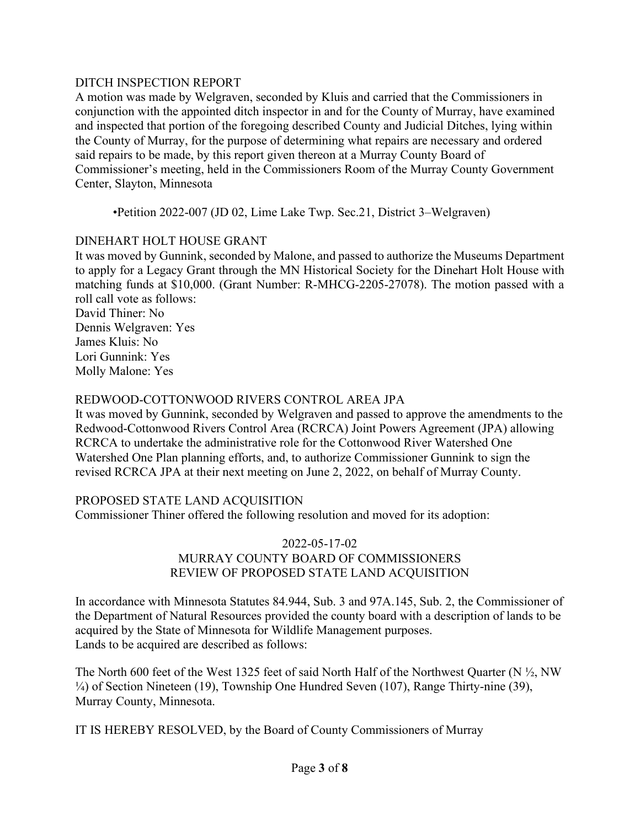## DITCH INSPECTION REPORT

A motion was made by Welgraven, seconded by Kluis and carried that the Commissioners in conjunction with the appointed ditch inspector in and for the County of Murray, have examined and inspected that portion of the foregoing described County and Judicial Ditches, lying within the County of Murray, for the purpose of determining what repairs are necessary and ordered said repairs to be made, by this report given thereon at a Murray County Board of Commissioner's meeting, held in the Commissioners Room of the Murray County Government Center, Slayton, Minnesota

•Petition 2022-007 (JD 02, Lime Lake Twp. Sec.21, District 3–Welgraven)

# DINEHART HOLT HOUSE GRANT

It was moved by Gunnink, seconded by Malone, and passed to authorize the Museums Department to apply for a Legacy Grant through the MN Historical Society for the Dinehart Holt House with matching funds at \$10,000. (Grant Number: R-MHCG-2205-27078). The motion passed with a roll call vote as follows:

David Thiner: No Dennis Welgraven: Yes James Kluis: No Lori Gunnink: Yes Molly Malone: Yes

# REDWOOD-COTTONWOOD RIVERS CONTROL AREA JPA

It was moved by Gunnink, seconded by Welgraven and passed to approve the amendments to the Redwood-Cottonwood Rivers Control Area (RCRCA) Joint Powers Agreement (JPA) allowing RCRCA to undertake the administrative role for the Cottonwood River Watershed One Watershed One Plan planning efforts, and, to authorize Commissioner Gunnink to sign the revised RCRCA JPA at their next meeting on June 2, 2022, on behalf of Murray County.

# PROPOSED STATE LAND ACQUISITION

Commissioner Thiner offered the following resolution and moved for its adoption:

### 2022-05-17-02 MURRAY COUNTY BOARD OF COMMISSIONERS REVIEW OF PROPOSED STATE LAND ACQUISITION

In accordance with Minnesota Statutes 84.944, Sub. 3 and 97A.145, Sub. 2, the Commissioner of the Department of Natural Resources provided the county board with a description of lands to be acquired by the State of Minnesota for Wildlife Management purposes. Lands to be acquired are described as follows:

The North 600 feet of the West 1325 feet of said North Half of the Northwest Quarter (N  $\frac{1}{2}$ , NW ¼) of Section Nineteen (19), Township One Hundred Seven (107), Range Thirty-nine (39), Murray County, Minnesota.

IT IS HEREBY RESOLVED, by the Board of County Commissioners of Murray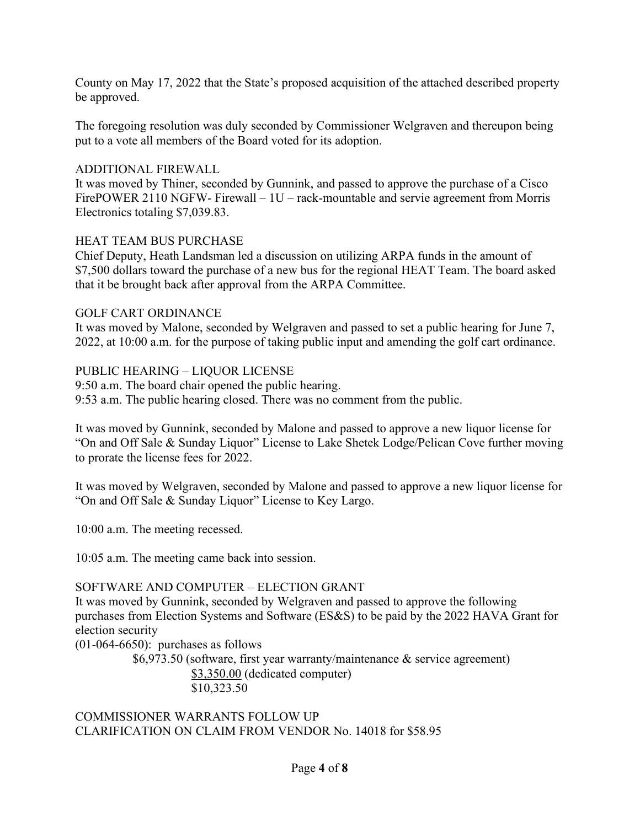County on May 17, 2022 that the State's proposed acquisition of the attached described property be approved.

The foregoing resolution was duly seconded by Commissioner Welgraven and thereupon being put to a vote all members of the Board voted for its adoption.

## ADDITIONAL FIREWALL

It was moved by Thiner, seconded by Gunnink, and passed to approve the purchase of a Cisco FirePOWER 2110 NGFW- Firewall – 1U – rack-mountable and servie agreement from Morris Electronics totaling \$7,039.83.

#### HEAT TEAM BUS PURCHASE

Chief Deputy, Heath Landsman led a discussion on utilizing ARPA funds in the amount of \$7,500 dollars toward the purchase of a new bus for the regional HEAT Team. The board asked that it be brought back after approval from the ARPA Committee.

#### GOLF CART ORDINANCE

It was moved by Malone, seconded by Welgraven and passed to set a public hearing for June 7, 2022, at 10:00 a.m. for the purpose of taking public input and amending the golf cart ordinance.

### PUBLIC HEARING – LIQUOR LICENSE

9:50 a.m. The board chair opened the public hearing. 9:53 a.m. The public hearing closed. There was no comment from the public.

It was moved by Gunnink, seconded by Malone and passed to approve a new liquor license for "On and Off Sale & Sunday Liquor" License to Lake Shetek Lodge/Pelican Cove further moving to prorate the license fees for 2022.

It was moved by Welgraven, seconded by Malone and passed to approve a new liquor license for "On and Off Sale & Sunday Liquor" License to Key Largo.

10:00 a.m. The meeting recessed.

10:05 a.m. The meeting came back into session.

#### SOFTWARE AND COMPUTER – ELECTION GRANT

It was moved by Gunnink, seconded by Welgraven and passed to approve the following purchases from Election Systems and Software (ES&S) to be paid by the 2022 HAVA Grant for election security

(01-064-6650): purchases as follows

\$6,973.50 (software, first year warranty/maintenance & service agreement) \$3,350.00 (dedicated computer) \$10,323.50

COMMISSIONER WARRANTS FOLLOW UP CLARIFICATION ON CLAIM FROM VENDOR No. 14018 for \$58.95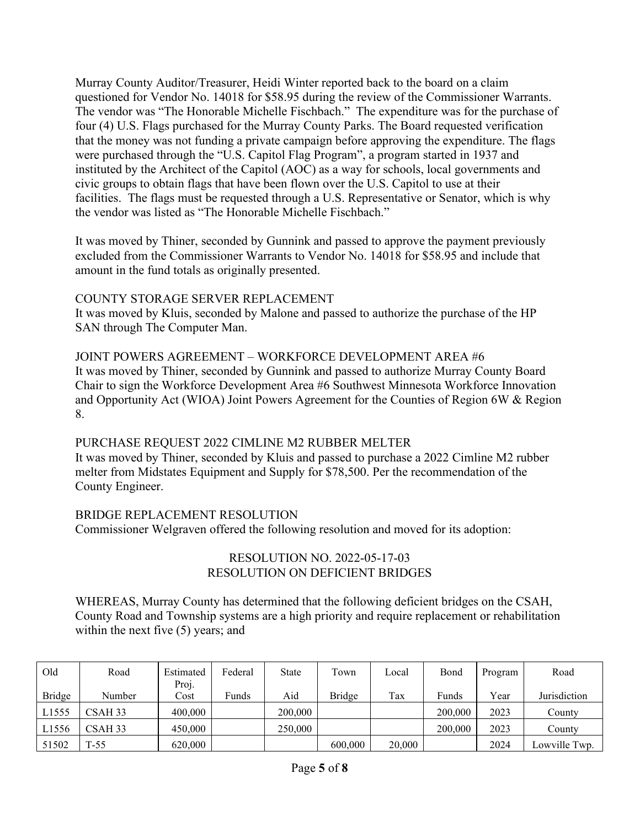Murray County Auditor/Treasurer, Heidi Winter reported back to the board on a claim questioned for Vendor No. 14018 for \$58.95 during the review of the Commissioner Warrants. The vendor was "The Honorable Michelle Fischbach." The expenditure was for the purchase of four (4) U.S. Flags purchased for the Murray County Parks. The Board requested verification that the money was not funding a private campaign before approving the expenditure. The flags were purchased through the "U.S. Capitol Flag Program", a program started in 1937 and instituted by the Architect of the Capitol (AOC) as a way for schools, local governments and civic groups to obtain flags that have been flown over the U.S. Capitol to use at their facilities. The flags must be requested through a U.S. Representative or Senator, which is why the vendor was listed as "The Honorable Michelle Fischbach."

It was moved by Thiner, seconded by Gunnink and passed to approve the payment previously excluded from the Commissioner Warrants to Vendor No. 14018 for \$58.95 and include that amount in the fund totals as originally presented.

## COUNTY STORAGE SERVER REPLACEMENT

It was moved by Kluis, seconded by Malone and passed to authorize the purchase of the HP SAN through The Computer Man.

JOINT POWERS AGREEMENT – WORKFORCE DEVELOPMENT AREA #6 It was moved by Thiner, seconded by Gunnink and passed to authorize Murray County Board Chair to sign the Workforce Development Area #6 Southwest Minnesota Workforce Innovation and Opportunity Act (WIOA) Joint Powers Agreement for the Counties of Region 6W & Region 8.

# PURCHASE REQUEST 2022 CIMLINE M2 RUBBER MELTER

It was moved by Thiner, seconded by Kluis and passed to purchase a 2022 Cimline M2 rubber melter from Midstates Equipment and Supply for \$78,500. Per the recommendation of the County Engineer.

# BRIDGE REPLACEMENT RESOLUTION

Commissioner Welgraven offered the following resolution and moved for its adoption:

## RESOLUTION NO. 2022-05-17-03 RESOLUTION ON DEFICIENT BRIDGES

WHEREAS, Murray County has determined that the following deficient bridges on the CSAH, County Road and Township systems are a high priority and require replacement or rehabilitation within the next five  $(5)$  years; and

| Old           | Road    | Estimated     | Federal | <b>State</b> | Town    | Local  | Bond    | Program | Road          |
|---------------|---------|---------------|---------|--------------|---------|--------|---------|---------|---------------|
| <b>Bridge</b> | Number  | Proj.<br>Cost | Funds   | Aid          | Bridge  | Tax    | Funds   | Year    | Jurisdiction  |
| L1555         | CSAH 33 | 400,000       |         | 200,000      |         |        | 200,000 | 2023    | County        |
| L1556         | CSAH 33 | 450,000       |         | 250,000      |         |        | 200,000 | 2023    | Countv        |
| 51502         | $T-55$  | 620,000       |         |              | 600,000 | 20,000 |         | 2024    | Lowville Twp. |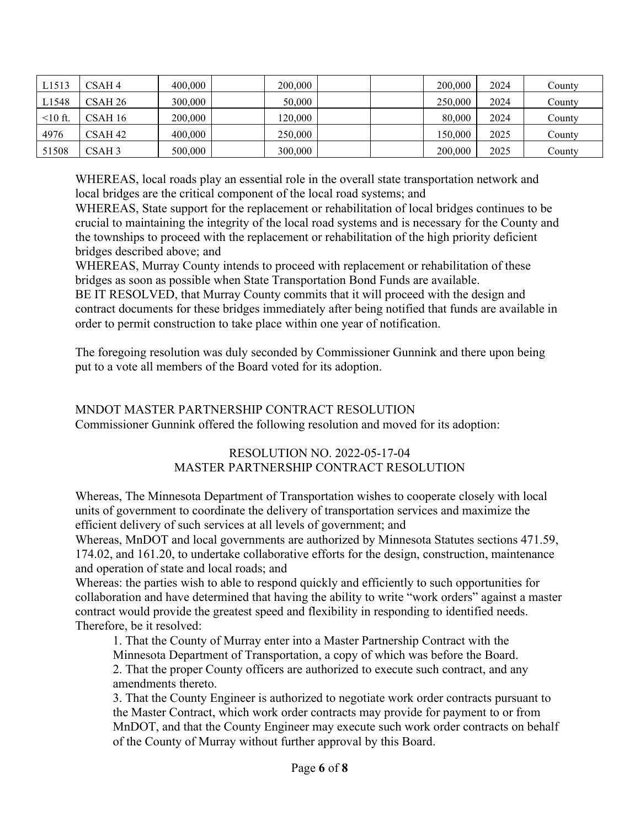| L1513         | CSAH4              | 400,000 | 200,000 | 200,000 | 2024 | County |
|---------------|--------------------|---------|---------|---------|------|--------|
| L1548         | CSAH 26            | 300,000 | 50,000  | 250,000 | 2024 | County |
| $\leq 10$ ft. | CSAH 16            | 200,000 | 120,000 | 80,000  | 2024 | County |
| 4976          | CSAH <sub>42</sub> | 400,000 | 250,000 | 150,000 | 2025 | County |
| 51508         | CSAH <sub>3</sub>  | 500,000 | 300,000 | 200,000 | 2025 | County |

WHEREAS, local roads play an essential role in the overall state transportation network and local bridges are the critical component of the local road systems; and

WHEREAS, State support for the replacement or rehabilitation of local bridges continues to be crucial to maintaining the integrity of the local road systems and is necessary for the County and the townships to proceed with the replacement or rehabilitation of the high priority deficient bridges described above; and

WHEREAS, Murray County intends to proceed with replacement or rehabilitation of these bridges as soon as possible when State Transportation Bond Funds are available.

BE IT RESOLVED, that Murray County commits that it will proceed with the design and contract documents for these bridges immediately after being notified that funds are available in order to permit construction to take place within one year of notification.

The foregoing resolution was duly seconded by Commissioner Gunnink and there upon being put to a vote all members of the Board voted for its adoption.

### MNDOT MASTER PARTNERSHIP CONTRACT RESOLUTION Commissioner Gunnink offered the following resolution and moved for its adoption:

# RESOLUTION NO. 2022-05-17-04 MASTER PARTNERSHIP CONTRACT RESOLUTION

Whereas, The Minnesota Department of Transportation wishes to cooperate closely with local units of government to coordinate the delivery of transportation services and maximize the efficient delivery of such services at all levels of government; and

Whereas, MnDOT and local governments are authorized by Minnesota Statutes sections 471.59, 174.02, and 161.20, to undertake collaborative efforts for the design, construction, maintenance and operation of state and local roads; and

Whereas: the parties wish to able to respond quickly and efficiently to such opportunities for collaboration and have determined that having the ability to write "work orders" against a master contract would provide the greatest speed and flexibility in responding to identified needs. Therefore, be it resolved:

1. That the County of Murray enter into a Master Partnership Contract with the Minnesota Department of Transportation, a copy of which was before the Board. 2. That the proper County officers are authorized to execute such contract, and any

amendments thereto.

3. That the County Engineer is authorized to negotiate work order contracts pursuant to the Master Contract, which work order contracts may provide for payment to or from MnDOT, and that the County Engineer may execute such work order contracts on behalf of the County of Murray without further approval by this Board.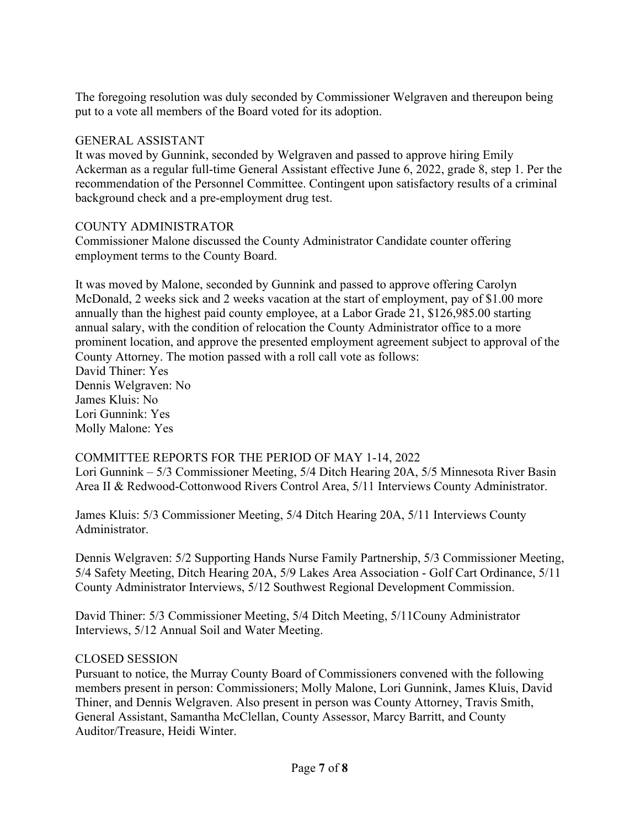The foregoing resolution was duly seconded by Commissioner Welgraven and thereupon being put to a vote all members of the Board voted for its adoption.

### GENERAL ASSISTANT

It was moved by Gunnink, seconded by Welgraven and passed to approve hiring Emily Ackerman as a regular full-time General Assistant effective June 6, 2022, grade 8, step 1. Per the recommendation of the Personnel Committee. Contingent upon satisfactory results of a criminal background check and a pre-employment drug test.

### COUNTY ADMINISTRATOR

Commissioner Malone discussed the County Administrator Candidate counter offering employment terms to the County Board.

It was moved by Malone, seconded by Gunnink and passed to approve offering Carolyn McDonald, 2 weeks sick and 2 weeks vacation at the start of employment, pay of \$1.00 more annually than the highest paid county employee, at a Labor Grade 21, \$126,985.00 starting annual salary, with the condition of relocation the County Administrator office to a more prominent location, and approve the presented employment agreement subject to approval of the County Attorney. The motion passed with a roll call vote as follows: David Thiner: Yes Dennis Welgraven: No James Kluis: No Lori Gunnink: Yes Molly Malone: Yes

## COMMITTEE REPORTS FOR THE PERIOD OF MAY 1-14, 2022

Lori Gunnink – 5/3 Commissioner Meeting, 5/4 Ditch Hearing 20A, 5/5 Minnesota River Basin Area II & Redwood-Cottonwood Rivers Control Area, 5/11 Interviews County Administrator.

James Kluis: 5/3 Commissioner Meeting, 5/4 Ditch Hearing 20A, 5/11 Interviews County Administrator.

Dennis Welgraven: 5/2 Supporting Hands Nurse Family Partnership, 5/3 Commissioner Meeting, 5/4 Safety Meeting, Ditch Hearing 20A, 5/9 Lakes Area Association - Golf Cart Ordinance, 5/11 County Administrator Interviews, 5/12 Southwest Regional Development Commission.

David Thiner: 5/3 Commissioner Meeting, 5/4 Ditch Meeting, 5/11Couny Administrator Interviews, 5/12 Annual Soil and Water Meeting.

#### CLOSED SESSION

Pursuant to notice, the Murray County Board of Commissioners convened with the following members present in person: Commissioners; Molly Malone, Lori Gunnink, James Kluis, David Thiner, and Dennis Welgraven. Also present in person was County Attorney, Travis Smith, General Assistant, Samantha McClellan, County Assessor, Marcy Barritt, and County Auditor/Treasure, Heidi Winter.